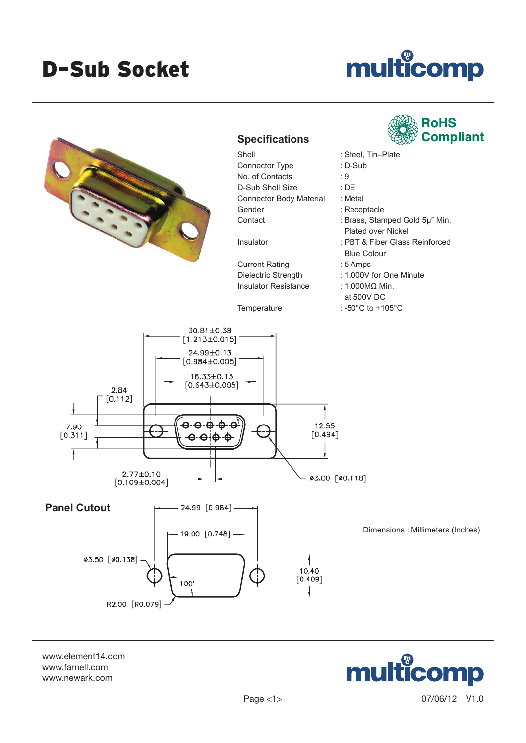## D–Sub Socket

## multicomp



www.element14.com www.farnell.com www.newark.com